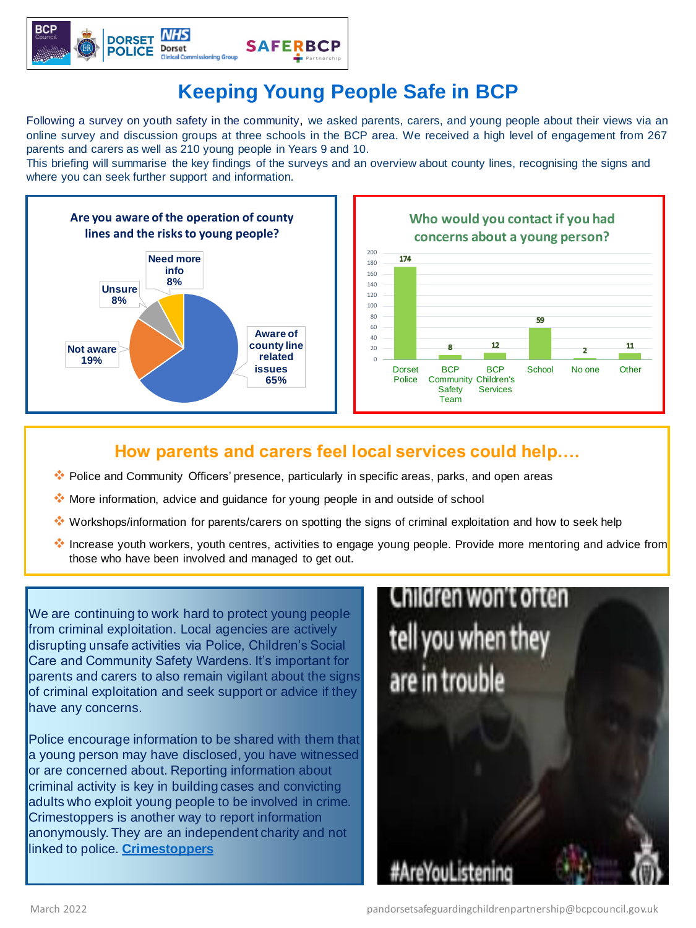

# **Keeping Young People Safe in BCP**

Following a survey on youth safety in the community, we asked parents, carers, and young people about their views via an online survey and discussion groups at three schools in the BCP area. We received a high level of engagement from 267 parents and carers as well as 210 young people in Years 9 and 10.

This briefing will summarise the key findings of the surveys and an overview about county lines, recognising the signs and where you can seek further support and information.

#### **How parents and carers feel local services could help….**

We are continuing to work hard to protect young people from criminal exploitation. Local agencies are actively disrupting unsafe activities via Police, Children's Social Care and Community Safety Wardens. It's important for parents and carers to also remain vigilant about the signs of criminal exploitation and seek support or advice if they have any concerns.

# Children won't often

- ❖ Police and Community Officers' presence, particularly in specific areas, parks, and open areas
- ❖ More information, advice and guidance for young people in and outside of school
- ❖ Workshops/information for parents/carers on spotting the signs of criminal exploitation and how to seek help
- ❖ Increase youth workers, youth centres, activities to engage young people. Provide more mentoring and advice from those who have been involved and managed to get out.

Police encourage information to be shared with them that a young person may have disclosed, you have witnessed or are concerned about. Reporting information about criminal activity is key in building cases and convicting adults who exploit young people to be involved in crime. Crimestoppers is another way to report information anonymously. They are an independent charity and not linked to police. **[Crimestoppers](https://crimestoppers-uk.org/)**



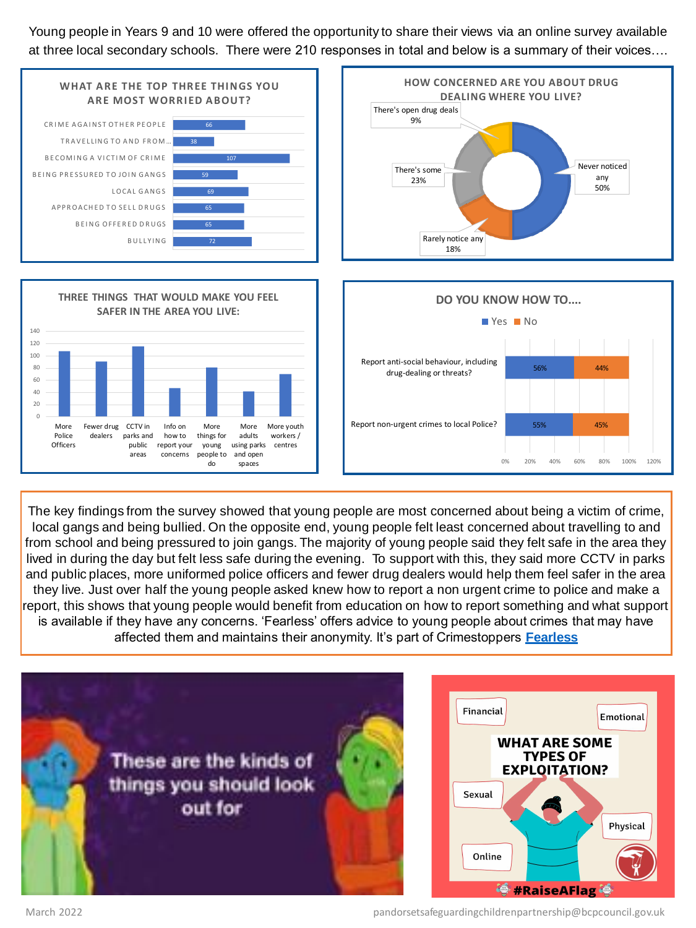Young people in Years 9 and 10 were offered the opportunity to share their views via an online survey available at three local secondary schools. There were 210 responses in total and below is a summary of their voices….

The key findings from the survey showed that young people are most concerned about being a victim of crime, local gangs and being bullied. On the opposite end, young people felt least concerned about travelling to and from school and being pressured to join gangs. The majority of young people said they felt safe in the area they lived in during the day but felt less safe during the evening. To support with this, they said more CCTV in parks and public places, more uniformed police officers and fewer drug dealers would help them feel safer in the area they live. Just over half the young people asked knew how to report a non urgent crime to police and make a report, this shows that young people would benefit from education on how to report something and what support is available if they have any concerns. 'Fearless' offers advice to young people about crimes that may have affected them and maintains their anonymity. It's part of Crimestoppers **[Fearless](https://www.fearless.org/)**







March 2022 pandorsetsafeguardingchildrenpartnership@bcpcouncil.gov.uk